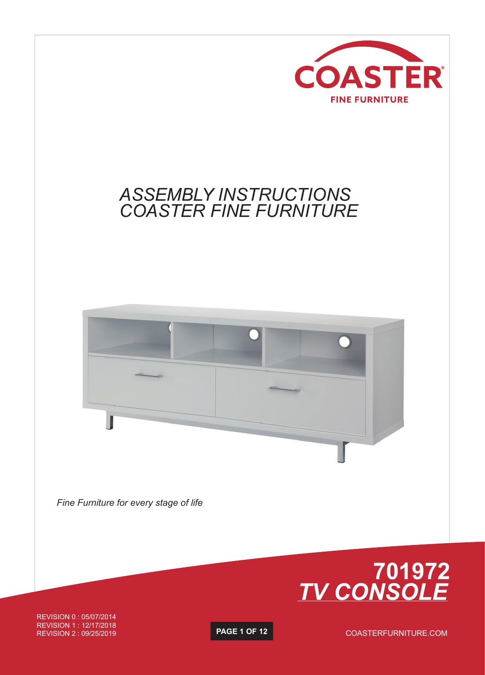

## *ASSEMBLY INSTRUCTIONS COASTER FINE FURNITURE*



*Fine Furniture for every stage of life*



REVISION 0 : 05/07/2014 REVISION 1 : 12/17/2018 REVISION 2 : 09/25/2019

**PAGE 1 OF 12**

COASTERFURNITURE.COM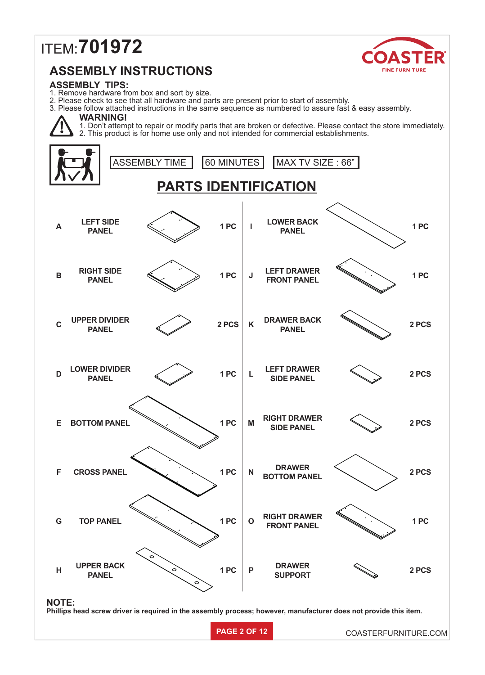# ITEM: **701972**



### **ASSEMBLY INSTRUCTIONS**

#### **ASSEMBLY TIPS:**

1. Remove hardware from box and sort by size.

2. Please check to see that all hardware and parts are present prior to start of assembly.

3. Please follow attached instructions in the same sequence as numbered to assure fast & easy assembly.

#### **WARNING!**



1. Don't attempt to repair or modify parts that are broken or defective. Please contact the store immediately. 2. This product is for home use only and not intended for commercial establishments.

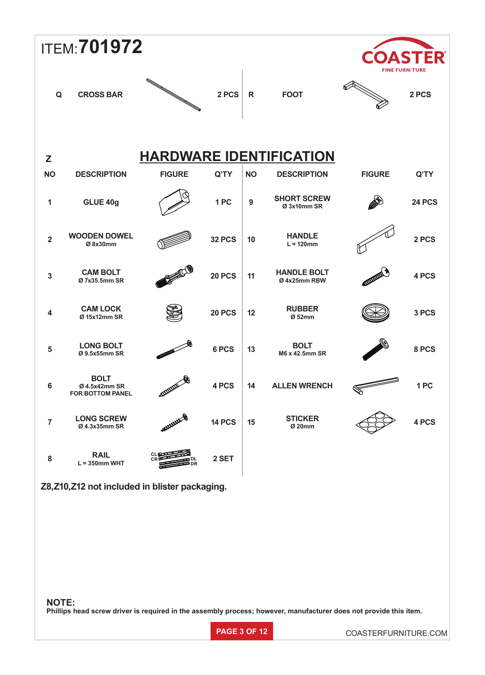| <b>ITEM: 701972</b>                             |                                                         |                    |               |              |                                    |               | ASTER<br><b>FINE FURNITURE</b> |  |
|-------------------------------------------------|---------------------------------------------------------|--------------------|---------------|--------------|------------------------------------|---------------|--------------------------------|--|
| Q                                               | <b>CROSS BAR</b>                                        |                    | 2 PCS         | $\mathsf{R}$ | <b>FOOT</b>                        |               | 2 PCS                          |  |
| <b>HARDWARE IDENTIFICATION</b><br>Z             |                                                         |                    |               |              |                                    |               |                                |  |
| <b>NO</b>                                       | <b>DESCRIPTION</b>                                      | <b>FIGURE</b>      | Q'TY          | <b>NO</b>    | <b>DESCRIPTION</b>                 | <b>FIGURE</b> | Q'TY                           |  |
| 1                                               | GLUE 40g                                                |                    | 1PC           | 9            | <b>SHORT SCREW</b><br>Ø 3x10mm SR  |               | 24 PCS                         |  |
| $\overline{2}$                                  | <b>WOODEN DOWEL</b><br>Ø 8x30mm                         |                    | <b>32 PCS</b> | 10           | <b>HANDLE</b><br>$L = 120$ mm      |               | 2 PCS                          |  |
| $\mathbf{3}$                                    | <b>CAM BOLT</b><br>Ø 7x35.5mm SR                        |                    | <b>20 PCS</b> | 11           | <b>HANDLE BOLT</b><br>Ø 4x25mm RBW |               | 4 PCS                          |  |
| 4                                               | <b>CAM LOCK</b><br>Ø 15x12mm SR                         |                    | <b>20 PCS</b> | 12           | <b>RUBBER</b><br>Ø 52mm            |               | 3 PCS                          |  |
| $\overline{\mathbf{5}}$                         | <b>LONG BOLT</b><br>Ø 9.5x55mm SR                       |                    | 6 PCS         | 13           | <b>BOLT</b><br>M6 x 42.5mm SR      |               | 8 PCS                          |  |
| $\bf 6$                                         | <b>BOLT</b><br>Ø 4.5x42mm SR<br><b>FOR BOTTOM PANEL</b> | <b>ATTACHERENT</b> | 4 PCS         | 14           | <b>ALLEN WRENCH</b>                |               | 1PC                            |  |
| $\overline{7}$                                  | <b>LONG SCREW</b><br>Ø 4.3x35mm SR                      | ANXXXXXX           | <b>14 PCS</b> | 15           | <b>STICKER</b><br>Ø 20mm           |               | 4 PCS                          |  |
| ${\bf 8}$                                       | <b>RAIL</b><br>$L = 350$ mm WHT                         |                    | 2 SET         |              |                                    |               |                                |  |
| Z8, Z10, Z12 not included in blister packaging. |                                                         |                    |               |              |                                    |               |                                |  |

**NOTE: Phillips head screw driver is required in the assembly process; however, manufacturer does not provide this item.**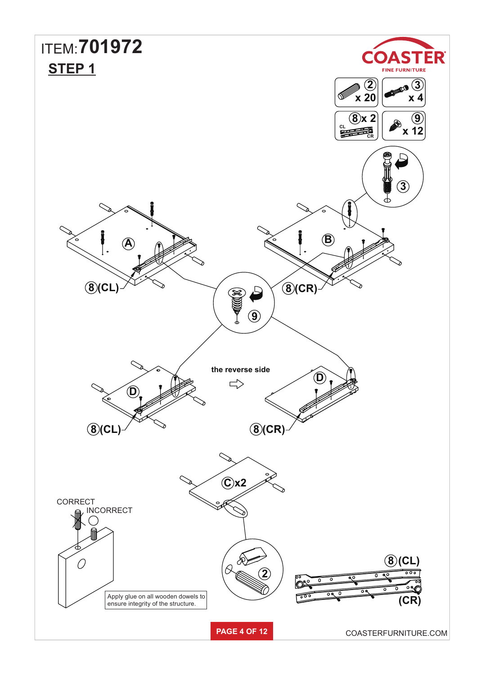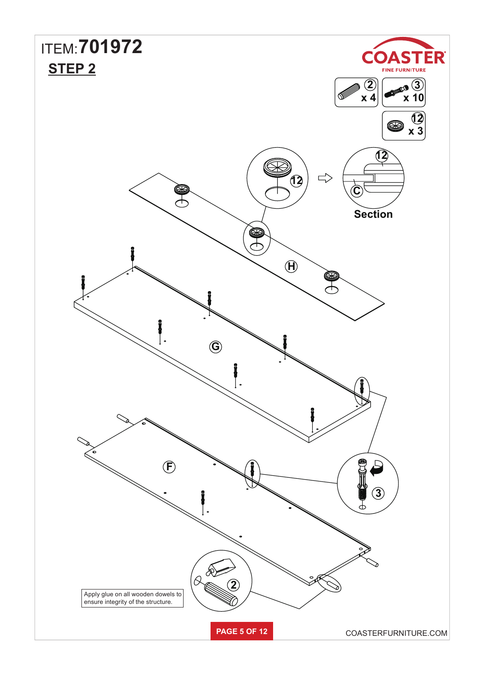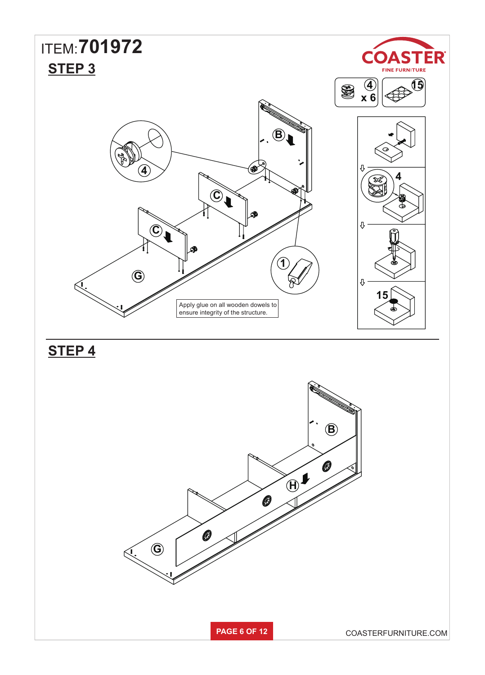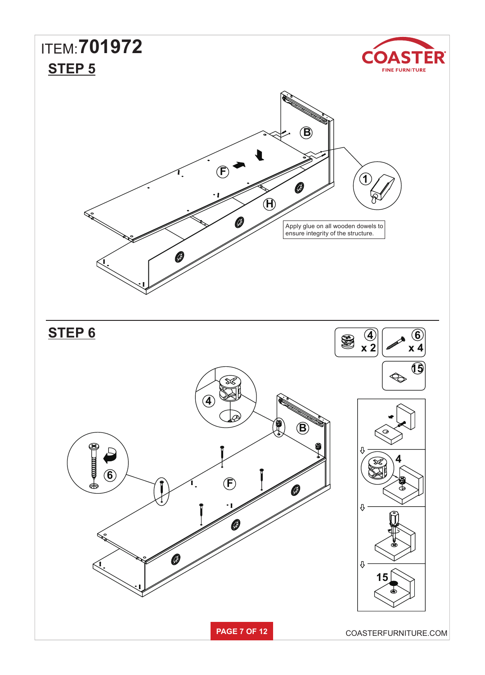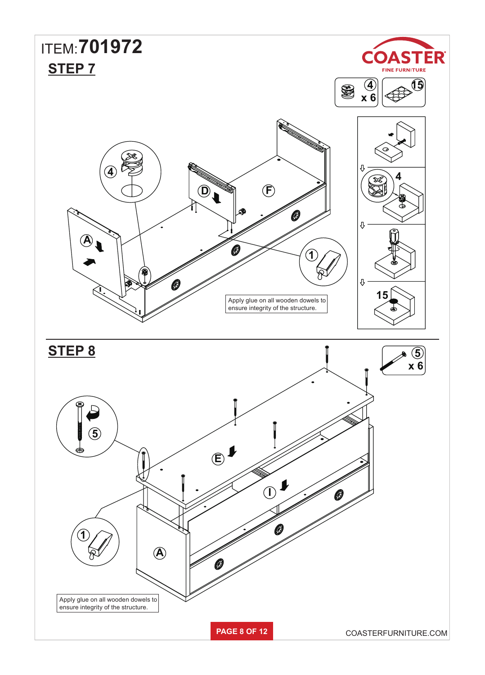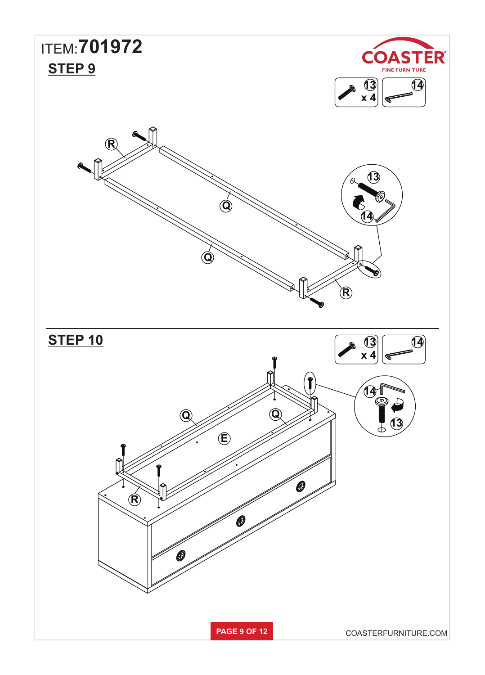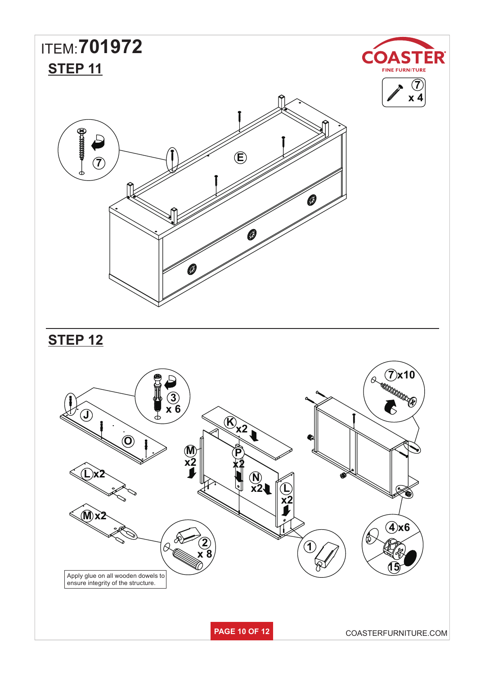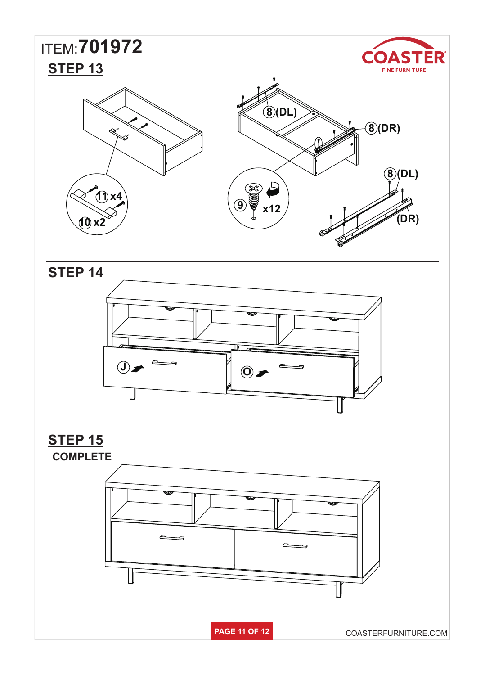